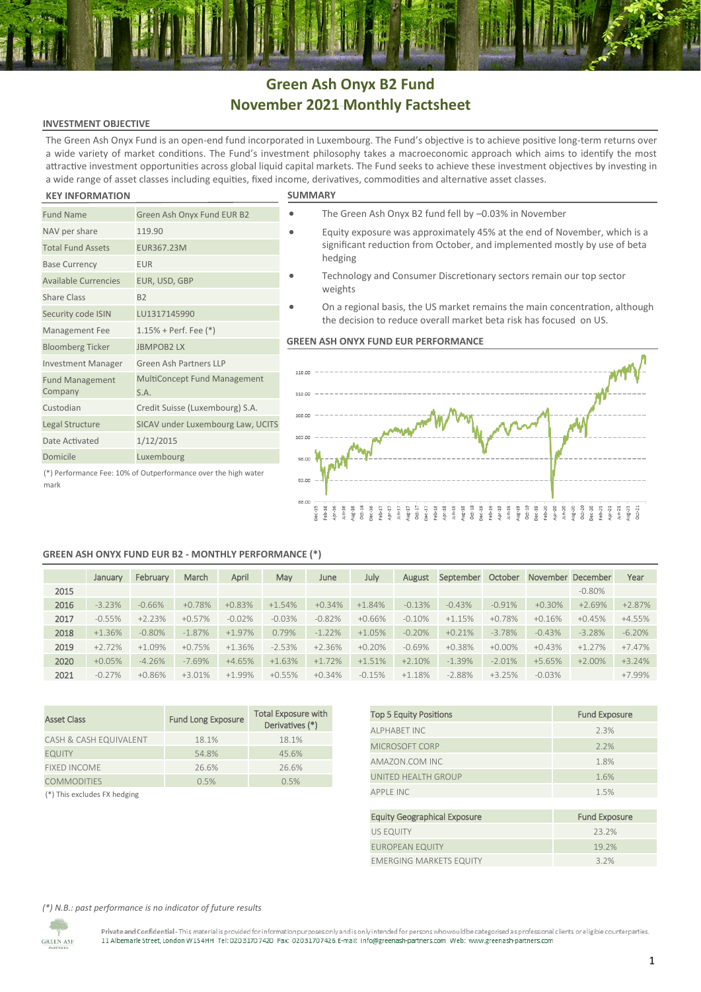# **Green Ash Onyx B2 Fund November 2021 Monthly Factsheet**

## **INVESTMENT OBJECTIVE**

The Green Ash Onyx Fund is an open-end fund incorporated in Luxembourg. The Fund's objective is to achieve positive long-term returns over a wide variety of market conditions. The Fund's investment philosophy takes a macroeconomic approach which aims to identify the most attractive investment opportunities across global liquid capital markets. The Fund seeks to achieve these investment objectives by investing in a wide range of asset classes including equities, fixed income, derivatives, commodities and alternative asset classes.

### **KEY INFORMATION**

mark

| <b>Fund Name</b>                  | Green Ash Onyx Fund EUR B2                                     |
|-----------------------------------|----------------------------------------------------------------|
| NAV per share                     | 119.90                                                         |
| <b>Total Fund Assets</b>          | EUR367.23M                                                     |
| <b>Base Currency</b>              | <b>EUR</b>                                                     |
| <b>Available Currencies</b>       | EUR, USD, GBP                                                  |
| <b>Share Class</b>                | B <sub>2</sub>                                                 |
| Security code ISIN                | LU1317145990                                                   |
| Management Fee                    | $1.15%$ + Perf. Fee $(*)$                                      |
| <b>Bloomberg Ticker</b>           | <b>JBMPOB2LX</b>                                               |
| <b>Investment Manager</b>         | Green Ash Partners LLP                                         |
| <b>Fund Management</b><br>Company | <b>MultiConcept Fund Management</b><br>S.A.                    |
| Custodian                         | Credit Suisse (Luxembourg) S.A.                                |
| Legal Structure                   | SICAV under Luxembourg Law, UCITS                              |
| Date Activated                    | 1/12/2015                                                      |
| Domicile                          | Luxembourg                                                     |
|                                   | (*) Performance Fee: 10% of Outperformance over the high water |

- The Green Ash Onyx B2 fund fell by –0.03% in November
- Equity exposure was approximately 45% at the end of November, which is a significant reduction from October, and implemented mostly by use of beta hedging
	- Technology and Consumer Discretionary sectors remain our top sector weights
	- On a regional basis, the US market remains the main concentration, although the decision to reduce overall market beta risk has focused on US.

### **GREEN ASH ONYX FUND EUR PERFORMANCE**



## **GREEN ASH ONYX FUND EUR B2 - MONTHLY PERFORMANCE (\*)**

|      | January  | February | March    | April    | May      | June     | July     | August   | September | October   | November | December  | Year     |
|------|----------|----------|----------|----------|----------|----------|----------|----------|-----------|-----------|----------|-----------|----------|
| 2015 |          |          |          |          |          |          |          |          |           |           |          | $-0.80\%$ |          |
| 2016 | $-3.23%$ | $-0.66%$ | $+0.78%$ | $+0.83%$ | $+1.54%$ | $+0.34%$ | $+1.84%$ | $-0.13%$ | $-0.43%$  | $-0.91%$  | $+0.30%$ | $+2.69%$  | $+2.87%$ |
| 2017 | $-0.55%$ | $+2.23%$ | $+0.57%$ | $-0.02%$ | $-0.03%$ | $-0.82%$ | $+0.66%$ | $-0.10%$ | $+1.15%$  | $+0.78%$  | $+0.16%$ | $+0.45%$  | $+4.55%$ |
| 2018 | $+1.36%$ | $-0.80%$ | $-1.87%$ | $+1.97%$ | 0.79%    | $-1.22%$ | $+1.05%$ | $-0.20%$ | $+0.21%$  | $-3.78%$  | $-0.43%$ | $-3.28%$  | $-6.20%$ |
| 2019 | $+2.72%$ | $+1.09%$ | $+0.75%$ | $+1.36%$ | $-2.53%$ | $+2.36%$ | $+0.20%$ | $-0.69%$ | $+0.38%$  | $+0.00\%$ | $+0.43%$ | $+1.27\%$ | $+7.47%$ |
| 2020 | $+0.05%$ | $-4.26%$ | $-7.69%$ | $+4.65%$ | $+1.63%$ | $+1.72%$ | $+1.51%$ | $+2.10%$ | $-1.39%$  | $-2.01%$  | $+5.65%$ | $+2.00\%$ | $+3.24%$ |
| 2021 | $-0.27%$ | $+0.86%$ | $+3.01%$ | $+1.99%$ | $+0.55%$ | $+0.34%$ | $-0.15%$ | $+1.18%$ | $-2.88%$  | $+3.25%$  | $-0.03%$ |           | +7.99%   |

| <b>Asset Class</b>     | <b>Fund Long Exposure</b> | <b>Total Exposure with</b><br>Derivatives (*) |
|------------------------|---------------------------|-----------------------------------------------|
| CASH & CASH EQUIVALENT | 18.1%                     | 18.1%                                         |
| <b>EQUITY</b>          | 54.8%                     | 45.6%                                         |
| <b>FIXED INCOME</b>    | 26.6%                     | 26.6%                                         |
| <b>COMMODITIES</b>     | 0.5%                      | 0.5%                                          |
|                        |                           |                                               |

| <b>Top 5 Equity Positions</b>       | <b>Fund Exposure</b> |
|-------------------------------------|----------------------|
| <b>ALPHABET INC</b>                 | 2.3%                 |
| MICROSOFT CORP                      | 2.2%                 |
| AMAZON.COM INC                      | 1.8%                 |
| UNITED HEALTH GROUP                 | 1.6%                 |
| <b>APPLE INC</b>                    | 1.5%                 |
|                                     |                      |
| <b>Equity Geographical Exposure</b> | <b>Fund Exposure</b> |
| <b>US EQUITY</b>                    | 23.2%                |

| <b>EQUILY OCURI ADITICAL EXPOSURE</b> | <b>FUILLEADUSULE</b> |
|---------------------------------------|----------------------|
| US EQUITY                             | 23.2%                |
| EUROPEAN EQUITY                       | 19.2%                |
| <b>EMERGING MARKETS EQUITY</b>        | 3.2%                 |

([\\*\)](https://en.wikipedia.org/wiki/Section_sign) This excludes FX hedging

### *(\*) N.B.: past performance is no indicator of future results*

**GREEN ASH** 

Private and Confidential - This material is provided for information purposes only and is only intended for persons who would be categorised as professional clients ore ligible counterparties. rivate and connuential - mis material is provided for information purposes only and isomy intended for persons who would be categorised as professional 11 Albemarle Street, London W1S4HH Tel: 020 3170 7420 Fax: 0203170 742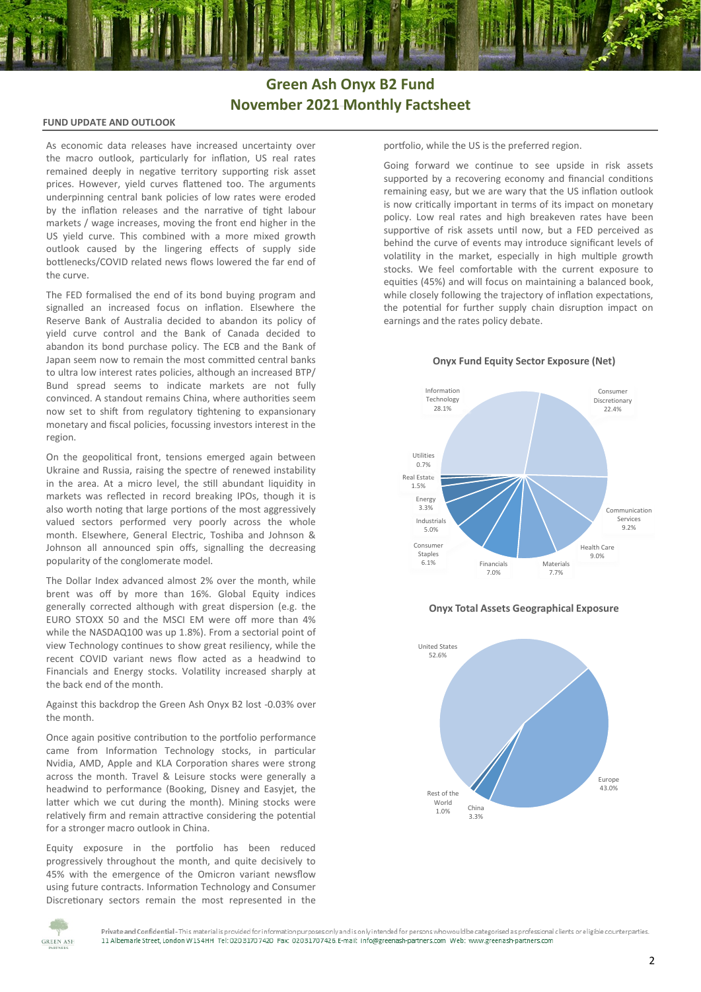## **Green Ash Onyx B2 Fund November 2021 Monthly Factsheet**

### **FUND UPDATE AND OUTLOOK**

As economic data releases have increased uncertainty over the macro outlook, particularly for inflation, US real rates remained deeply in negative territory supporting risk asset prices. However, yield curves flattened too. The arguments underpinning central bank policies of low rates were eroded by the inflation releases and the narrative of tight labour markets / wage increases, moving the front end higher in the US yield curve. This combined with a more mixed growth outlook caused by the lingering effects of supply side bottlenecks/COVID related news flows lowered the far end of the curve.

The FED formalised the end of its bond buying program and signalled an increased focus on inflation. Elsewhere the Reserve Bank of Australia decided to abandon its policy of yield curve control and the Bank of Canada decided to abandon its bond purchase policy. The ECB and the Bank of Japan seem now to remain the most committed central banks to ultra low interest rates policies, although an increased BTP/ Bund spread seems to indicate markets are not fully convinced. A standout remains China, where authorities seem now set to shift from regulatory tightening to expansionary monetary and fiscal policies, focussing investors interest in the region.

On the geopolitical front, tensions emerged again between Ukraine and Russia, raising the spectre of renewed instability in the area. At a micro level, the still abundant liquidity in markets was reflected in record breaking IPOs, though it is also worth noting that large portions of the most aggressively valued sectors performed very poorly across the whole month. Elsewhere, General Electric, Toshiba and Johnson & Johnson all announced spin offs, signalling the decreasing popularity of the conglomerate model.

The Dollar Index advanced almost 2% over the month, while brent was off by more than 16%. Global Equity indices generally corrected although with great dispersion (e.g. the EURO STOXX 50 and the MSCI EM were off more than 4% while the NASDAQ100 was up 1.8%). From a sectorial point of view Technology continues to show great resiliency, while the recent COVID variant news flow acted as a headwind to Financials and Energy stocks. Volatility increased sharply at the back end of the month.

Against this backdrop the Green Ash Onyx B2 lost -0.03% over the month.

Once again positive contribution to the portfolio performance came from Information Technology stocks, in particular Nvidia, AMD, Apple and KLA Corporation shares were strong across the month. Travel & Leisure stocks were generally a headwind to performance (Booking, Disney and Easyjet, the latter which we cut during the month). Mining stocks were relatively firm and remain attractive considering the potential for a stronger macro outlook in China.

Equity exposure in the portfolio has been reduced progressively throughout the month, and quite decisively to 45% with the emergence of the Omicron variant newsflow using future contracts. Information Technology and Consumer Discretionary sectors remain the most represented in the portfolio, while the US is the preferred region.

Going forward we continue to see upside in risk assets supported by a recovering economy and financial conditions remaining easy, but we are wary that the US inflation outlook is now critically important in terms of its impact on monetary policy. Low real rates and high breakeven rates have been supportive of risk assets until now, but a FED perceived as behind the curve of events may introduce significant levels of volatility in the market, especially in high multiple growth stocks. We feel comfortable with the current exposure to equities (45%) and will focus on maintaining a balanced book, while closely following the trajectory of inflation expectations, the potential for further supply chain disruption impact on earnings and the rates policy debate.

**Onyx Fund Equity Sector Exposure (Net)**









Private and Confidential - This material is provided for information purposes only and is only intended for persons who would be categorised as professional clients or eligible counterparties. 11 Albemarle Street London W1S4HH Tel: 020 3170 7420 Fax: 020 3170 7426 E-mail: info@greenash-partners.com Web: www.greenash-partners.com